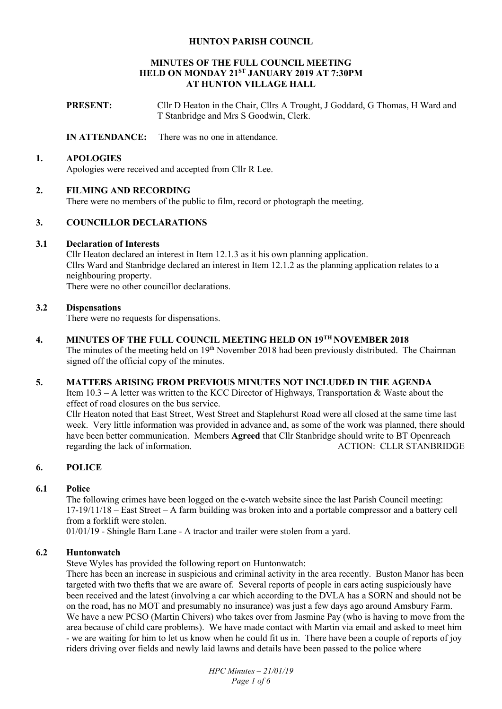#### **HUNTON PARISH COUNCIL**

#### **MINUTES OF THE FULL COUNCIL MEETING HELD ON MONDAY 21ST JANUARY 2019 AT 7:30PM AT HUNTON VILLAGE HALL**

**PRESENT:** Cllr D Heaton in the Chair, Cllrs A Trought, J Goddard, G Thomas, H Ward and T Stanbridge and Mrs S Goodwin, Clerk.

### **IN ATTENDANCE:** There was no one in attendance.

#### **1. APOLOGIES**

Apologies were received and accepted from Cllr R Lee.

### **2. FILMING AND RECORDING**

There were no members of the public to film, record or photograph the meeting.

### **3. COUNCILLOR DECLARATIONS**

#### **3.1 Declaration of Interests**

Cllr Heaton declared an interest in Item 12.1.3 as it his own planning application. Cllrs Ward and Stanbridge declared an interest in Item 12.1.2 as the planning application relates to a neighbouring property. There were no other councillor declarations.

**3.2 Dispensations** 

There were no requests for dispensations.

### **4. MINUTES OF THE FULL COUNCIL MEETING HELD ON 19TH NOVEMBER 2018**

The minutes of the meeting held on 19<sup>th</sup> November 2018 had been previously distributed. The Chairman signed off the official copy of the minutes.

### **5. MATTERS ARISING FROM PREVIOUS MINUTES NOT INCLUDED IN THE AGENDA**

Item 10.3 – A letter was written to the KCC Director of Highways, Transportation & Waste about the effect of road closures on the bus service.

Cllr Heaton noted that East Street, West Street and Staplehurst Road were all closed at the same time last week. Very little information was provided in advance and, as some of the work was planned, there should have been better communication. Members **Agreed** that Cllr Stanbridge should write to BT Openreach regarding the lack of information. ACTION: CLLR STANBRIDGE

# **6. POLICE**

### **6.1 Police**

The following crimes have been logged on the e-watch website since the last Parish Council meeting: 17-19/11/18 – East Street – A farm building was broken into and a portable compressor and a battery cell from a forklift were stolen.

01/01/19 - Shingle Barn Lane - A tractor and trailer were stolen from a yard.

### **6.2 Huntonwatch**

Steve Wyles has provided the following report on Huntonwatch:

There has been an increase in suspicious and criminal activity in the area recently. Buston Manor has been targeted with two thefts that we are aware of. Several reports of people in cars acting suspiciously have been received and the latest (involving a car which according to the DVLA has a SORN and should not be on the road, has no MOT and presumably no insurance) was just a few days ago around Amsbury Farm. We have a new PCSO (Martin Chivers) who takes over from Jasmine Pay (who is having to move from the area because of child care problems). We have made contact with Martin via email and asked to meet him - we are waiting for him to let us know when he could fit us in. There have been a couple of reports of joy riders driving over fields and newly laid lawns and details have been passed to the police where

> *HPC Minutes – 21/01/19 Page 1 of 6*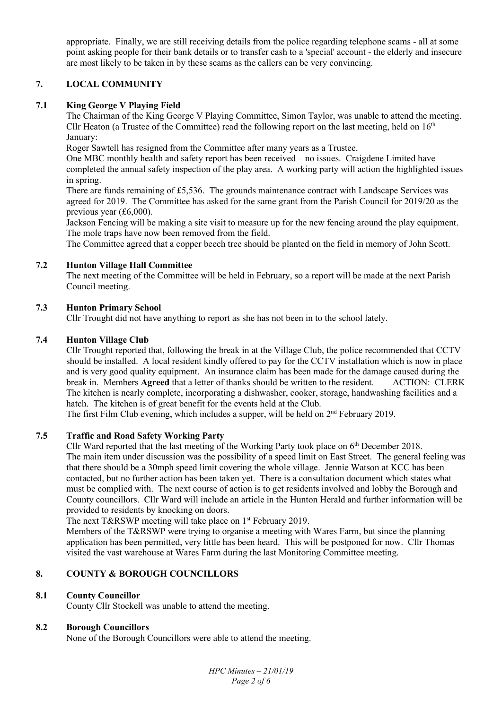appropriate. Finally, we are still receiving details from the police regarding telephone scams - all at some point asking people for their bank details or to transfer cash to a 'special' account - the elderly and insecure are most likely to be taken in by these scams as the callers can be very convincing.

# **7. LOCAL COMMUNITY**

# **7.1 King George V Playing Field**

The Chairman of the King George V Playing Committee, Simon Taylor, was unable to attend the meeting. Cllr Heaton (a Trustee of the Committee) read the following report on the last meeting, held on  $16<sup>th</sup>$ January:

Roger Sawtell has resigned from the Committee after many years as a Trustee.

One MBC monthly health and safety report has been received – no issues. Craigdene Limited have completed the annual safety inspection of the play area. A working party will action the highlighted issues in spring.

There are funds remaining of £5,536. The grounds maintenance contract with Landscape Services was agreed for 2019. The Committee has asked for the same grant from the Parish Council for 2019/20 as the previous year (£6,000).

Jackson Fencing will be making a site visit to measure up for the new fencing around the play equipment. The mole traps have now been removed from the field.

The Committee agreed that a copper beech tree should be planted on the field in memory of John Scott.

### **7.2 Hunton Village Hall Committee**

The next meeting of the Committee will be held in February, so a report will be made at the next Parish Council meeting.

### **7.3 Hunton Primary School**

Cllr Trought did not have anything to report as she has not been in to the school lately.

### **7.4 Hunton Village Club**

Cllr Trought reported that, following the break in at the Village Club, the police recommended that CCTV should be installed. A local resident kindly offered to pay for the CCTV installation which is now in place and is very good quality equipment. An insurance claim has been made for the damage caused during the break in. Members **Agreed** that a letter of thanks should be written to the resident. ACTION: CLERK The kitchen is nearly complete, incorporating a dishwasher, cooker, storage, handwashing facilities and a hatch. The kitchen is of great benefit for the events held at the Club.

The first Film Club evening, which includes a supper, will be held on  $2<sup>nd</sup>$  February 2019.

#### **7.5 Traffic and Road Safety Working Party**

Cllr Ward reported that the last meeting of the Working Party took place on 6<sup>th</sup> December 2018. The main item under discussion was the possibility of a speed limit on East Street. The general feeling was that there should be a 30mph speed limit covering the whole village. Jennie Watson at KCC has been contacted, but no further action has been taken yet. There is a consultation document which states what must be complied with. The next course of action is to get residents involved and lobby the Borough and County councillors. Cllr Ward will include an article in the Hunton Herald and further information will be provided to residents by knocking on doors.

The next T&RSWP meeting will take place on 1<sup>st</sup> February 2019.

Members of the T&RSWP were trying to organise a meeting with Wares Farm, but since the planning application has been permitted, very little has been heard. This will be postponed for now. Cllr Thomas visited the vast warehouse at Wares Farm during the last Monitoring Committee meeting.

### **8. COUNTY & BOROUGH COUNCILLORS**

### **8.1 County Councillor**

County Cllr Stockell was unable to attend the meeting.

#### **8.2 Borough Councillors**

None of the Borough Councillors were able to attend the meeting.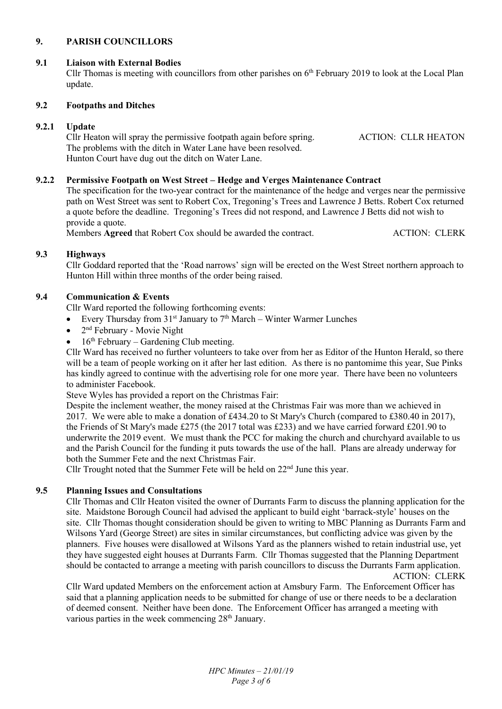### **9. PARISH COUNCILLORS**

#### **9.1 Liaison with External Bodies**

Cllr Thomas is meeting with councillors from other parishes on  $6<sup>th</sup>$  February 2019 to look at the Local Plan update.

#### **9.2 Footpaths and Ditches**

### **9.2.1 Update**

Cllr Heaton will spray the permissive footpath again before spring. ACTION: CLLR HEATON The problems with the ditch in Water Lane have been resolved. Hunton Court have dug out the ditch on Water Lane.

### **9.2.2 Permissive Footpath on West Street – Hedge and Verges Maintenance Contract**

The specification for the two-year contract for the maintenance of the hedge and verges near the permissive path on West Street was sent to Robert Cox, Tregoning's Trees and Lawrence J Betts. Robert Cox returned a quote before the deadline. Tregoning's Trees did not respond, and Lawrence J Betts did not wish to provide a quote.

Members **Agreed** that Robert Cox should be awarded the contract. ACTION: CLERK

### **9.3 Highways**

Cllr Goddard reported that the 'Road narrows' sign will be erected on the West Street northern approach to Hunton Hill within three months of the order being raised.

### **9.4 Communication & Events**

Cllr Ward reported the following forthcoming events:

- Every Thursday from  $31^{st}$  January to  $7^{th}$  March Winter Warmer Lunches
- $\bullet$  $2<sup>nd</sup>$  February - Movie Night
- $16<sup>th</sup>$  February Gardening Club meeting.

Cllr Ward has received no further volunteers to take over from her as Editor of the Hunton Herald, so there will be a team of people working on it after her last edition. As there is no pantomime this year, Sue Pinks has kindly agreed to continue with the advertising role for one more year. There have been no volunteers to administer Facebook.

Steve Wyles has provided a report on the Christmas Fair:

Despite the inclement weather, the money raised at the Christmas Fair was more than we achieved in 2017. We were able to make a donation of £434.20 to St Mary's Church (compared to £380.40 in 2017), the Friends of St Mary's made £275 (the 2017 total was £233) and we have carried forward £201.90 to underwrite the 2019 event. We must thank the PCC for making the church and churchyard available to us and the Parish Council for the funding it puts towards the use of the hall. Plans are already underway for both the Summer Fete and the next Christmas Fair.

Cllr Trought noted that the Summer Fete will be held on  $22<sup>nd</sup>$  June this year.

#### **9.5 Planning Issues and Consultations**

Cllr Thomas and Cllr Heaton visited the owner of Durrants Farm to discuss the planning application for the site. Maidstone Borough Council had advised the applicant to build eight 'barrack-style' houses on the site. Cllr Thomas thought consideration should be given to writing to MBC Planning as Durrants Farm and Wilsons Yard (George Street) are sites in similar circumstances, but conflicting advice was given by the planners. Five houses were disallowed at Wilsons Yard as the planners wished to retain industrial use, yet they have suggested eight houses at Durrants Farm. Cllr Thomas suggested that the Planning Department should be contacted to arrange a meeting with parish councillors to discuss the Durrants Farm application.

ACTION: CLERK

Cllr Ward updated Members on the enforcement action at Amsbury Farm. The Enforcement Officer has said that a planning application needs to be submitted for change of use or there needs to be a declaration of deemed consent. Neither have been done. The Enforcement Officer has arranged a meeting with various parties in the week commencing  $28<sup>th</sup>$  January.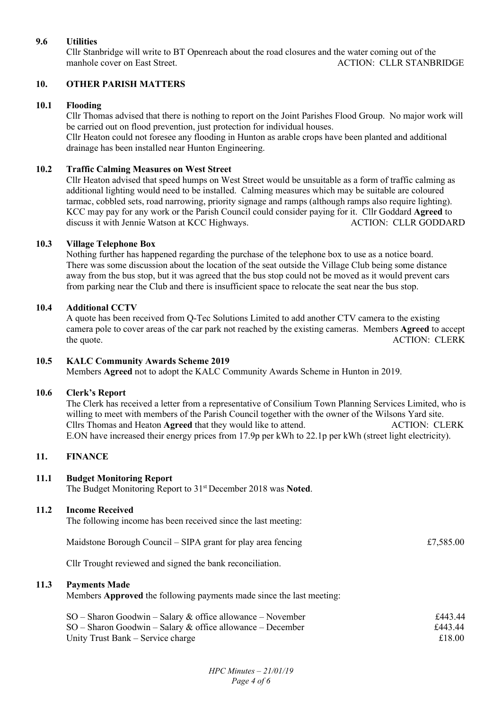### **9.6 Utilities**

Cllr Stanbridge will write to BT Openreach about the road closures and the water coming out of the manhole cover on East Street. The Cover of East Street. ACTION: CLLR STANBRIDGE

### **10. OTHER PARISH MATTERS**

#### **10.1 Flooding**

Cllr Thomas advised that there is nothing to report on the Joint Parishes Flood Group. No major work will be carried out on flood prevention, just protection for individual houses.

Cllr Heaton could not foresee any flooding in Hunton as arable crops have been planted and additional drainage has been installed near Hunton Engineering.

#### **10.2 Traffic Calming Measures on West Street**

Cllr Heaton advised that speed humps on West Street would be unsuitable as a form of traffic calming as additional lighting would need to be installed. Calming measures which may be suitable are coloured tarmac, cobbled sets, road narrowing, priority signage and ramps (although ramps also require lighting). KCC may pay for any work or the Parish Council could consider paying for it. Cllr Goddard **Agreed** to discuss it with Jennie Watson at KCC Highways. **ACTION: CLLR GODDARD** 

#### **10.3 Village Telephone Box**

Nothing further has happened regarding the purchase of the telephone box to use as a notice board. There was some discussion about the location of the seat outside the Village Club being some distance away from the bus stop, but it was agreed that the bus stop could not be moved as it would prevent cars from parking near the Club and there is insufficient space to relocate the seat near the bus stop.

#### **10.4 Additional CCTV**

A quote has been received from Q-Tec Solutions Limited to add another CTV camera to the existing camera pole to cover areas of the car park not reached by the existing cameras. Members **Agreed** to accept the quote. ACTION: CLERK

#### **10.5 KALC Community Awards Scheme 2019**

Members **Agreed** not to adopt the KALC Community Awards Scheme in Hunton in 2019.

#### **10.6 Clerk's Report**

The Clerk has received a letter from a representative of Consilium Town Planning Services Limited, who is willing to meet with members of the Parish Council together with the owner of the Wilsons Yard site. Cllrs Thomas and Heaton **Agreed** that they would like to attend. ACTION: CLERK E.ON have increased their energy prices from 17.9p per kWh to 22.1p per kWh (street light electricity).

#### **11. FINANCE**

#### **11.1 Budget Monitoring Report**

The Budget Monitoring Report to 31st December 2018 was **Noted**.

#### **11.2 Income Received**

| The following income has been received since the last meeting: |           |
|----------------------------------------------------------------|-----------|
| Maidstone Borough Council – SIPA grant for play area fencing   | £7,585.00 |
| Cllr Trought reviewed and signed the bank reconciliation.      |           |

#### **11.3 Payments Made**

Members **Approved** the following payments made since the last meeting:

| $SO -$ Sharon Goodwin – Salary & office allowance – November | £443.44 |
|--------------------------------------------------------------|---------|
| $SO -$ Sharon Goodwin – Salary & office allowance – December | £443.44 |
| Unity Trust Bank – Service charge                            | £18.00  |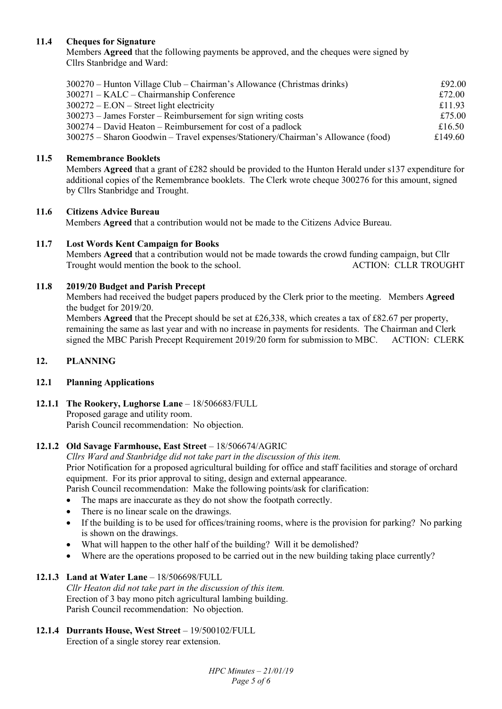# **11.4 Cheques for Signature**

Members **Agreed** that the following payments be approved, and the cheques were signed by Cllrs Stanbridge and Ward:

| 300270 – Hunton Village Club – Chairman's Allowance (Christmas drinks)           | £92.00  |
|----------------------------------------------------------------------------------|---------|
| 300271 - KALC - Chairmanship Conference                                          | £72.00  |
| $300272 - E. ON - Street light electricity$                                      | £11.93  |
| $300273$ – James Forster – Reimbursement for sign writing costs                  | £75.00  |
| $300274 - David Heath - Reinburst for cost of a padlock$                         | £16.50  |
| 300275 – Sharon Goodwin – Travel expenses/Stationery/Chairman's Allowance (food) | £149.60 |

### **11.5 Remembrance Booklets**

Members **Agreed** that a grant of £282 should be provided to the Hunton Herald under s137 expenditure for additional copies of the Remembrance booklets. The Clerk wrote cheque 300276 for this amount, signed by Cllrs Stanbridge and Trought.

### **11.6 Citizens Advice Bureau**

Members **Agreed** that a contribution would not be made to the Citizens Advice Bureau.

### **11.7 Lost Words Kent Campaign for Books**

Members **Agreed** that a contribution would not be made towards the crowd funding campaign, but Cllr Trought would mention the book to the school. ACTION: CLLR TROUGHT

### **11.8 2019/20 Budget and Parish Precept**

Members had received the budget papers produced by the Clerk prior to the meeting. Members **Agreed** the budget for 2019/20.

Members **Agreed** that the Precept should be set at £26,338, which creates a tax of £82.67 per property, remaining the same as last year and with no increase in payments for residents. The Chairman and Clerk signed the MBC Parish Precept Requirement 2019/20 form for submission to MBC. ACTION: CLERK

### **12. PLANNING**

### **12.1 Planning Applications**

**12.1.1 The Rookery, Lughorse Lane** – 18/506683/FULL Proposed garage and utility room. Parish Council recommendation: No objection.

### 12.1.2 Old Savage Farmhouse, East Street - 18/506674/AGRIC

*Cllrs Ward and Stanbridge did not take part in the discussion of this item.*  Prior Notification for a proposed agricultural building for office and staff facilities and storage of orchard equipment. For its prior approval to siting, design and external appearance.

Parish Council recommendation: Make the following points/ask for clarification:

- The maps are inaccurate as they do not show the footpath correctly.
- There is no linear scale on the drawings.
- If the building is to be used for offices/training rooms, where is the provision for parking? No parking is shown on the drawings.
- What will happen to the other half of the building? Will it be demolished?
- Where are the operations proposed to be carried out in the new building taking place currently?

### **12.1.3 Land at Water Lane** – 18/506698/FULL

*Cllr Heaton did not take part in the discussion of this item.*  Erection of 3 bay mono pitch agricultural lambing building. Parish Council recommendation: No objection.

### **12.1.4 Durrants House, West Street** – 19/500102/FULL

Erection of a single storey rear extension.